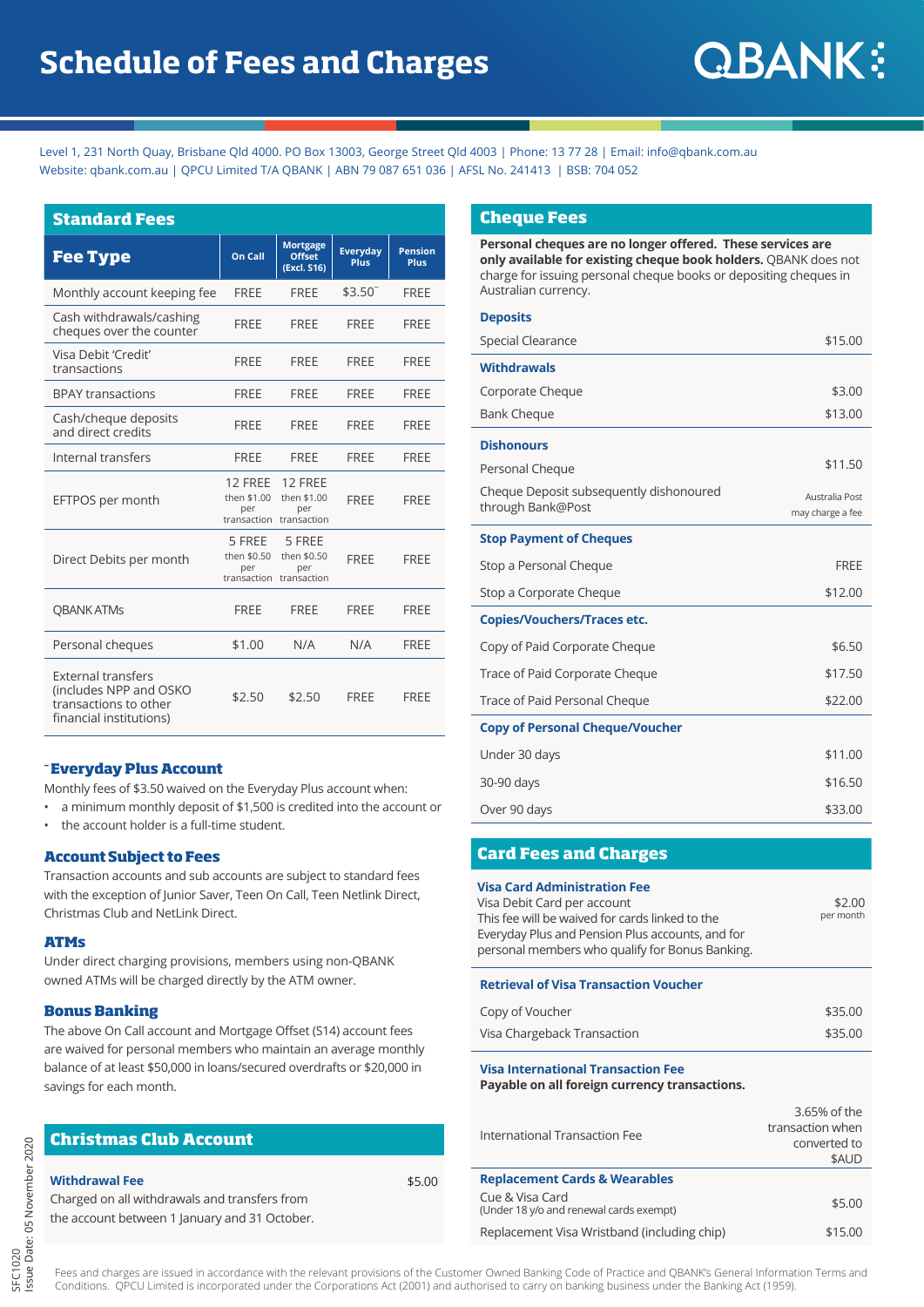Level 1, 231 North Quay, Brisbane Qld 4000. PO Box 13003, George Street Qld 4003 | Phone: 13 77 28 | Email: info@qbank.com.au Website: gbank.com.au | OPCU Limited T/A OBANK | ABN 79 087 651 036 | AFSL No. 241413 | BSB: 704 052

| <b>Standard Fees</b>                                                                                    |                               |                                                          |                                |                               |
|---------------------------------------------------------------------------------------------------------|-------------------------------|----------------------------------------------------------|--------------------------------|-------------------------------|
| <b>Fee Type</b>                                                                                         | On Call                       | <b>Mortgage</b><br><b>Offset</b><br>(Excl. S16)          | <b>Everyday</b><br><b>Plus</b> | <b>Pension</b><br><b>Plus</b> |
| Monthly account keeping fee                                                                             | <b>FREE</b>                   | <b>FREE</b>                                              | $$3.50^{\degree}$              | <b>FRFF</b>                   |
| Cash withdrawals/cashing<br>cheques over the counter                                                    | <b>FREE</b>                   | <b>FREE</b>                                              | <b>FREE</b>                    | <b>FREE</b>                   |
| Visa Debit 'Credit'<br>transactions                                                                     | <b>FREE</b>                   | <b>FRFF</b>                                              | FRFF                           | FRFF                          |
| <b>BPAY transactions</b>                                                                                | <b>FREE</b>                   | <b>FREE</b>                                              | FRFF                           | FRFF                          |
| Cash/cheque deposits<br>and direct credits                                                              | <b>FREE</b>                   | <b>FREE</b>                                              | <b>FREE</b>                    | <b>FREE</b>                   |
| Internal transfers                                                                                      | <b>FREE</b>                   | <b>FREE</b>                                              | <b>FRFF</b>                    | <b>FRFF</b>                   |
| EFTPOS per month                                                                                        | 12 FREE<br>then \$1.00<br>per | 12 FREE<br>then \$1.00<br>per<br>transaction transaction | <b>FRFF</b>                    | <b>FRFF</b>                   |
| Direct Debits per month                                                                                 | 5 FREE<br>then \$0.50<br>per  | 5 FREE<br>then \$0.50<br>per<br>transaction transaction  | <b>FREE</b>                    | <b>FREE</b>                   |
| <b>OBANK ATMS</b>                                                                                       | <b>FRFF</b>                   | <b>FRFF</b>                                              | <b>FRFF</b>                    | <b>FRFF</b>                   |
| Personal cheques                                                                                        | \$1.00                        | N/A                                                      | N/A                            | <b>FREE</b>                   |
| <b>External transfers</b><br>(includes NPP and OSKO<br>transactions to other<br>financial institutions) | \$2.50                        | \$2.50                                                   | <b>FRFF</b>                    | <b>FRFF</b>                   |

#### **~ Everyday Plus Account**

Monthly fees of \$3.50 waived on the Everyday Plus account when:

- a minimum monthly deposit of \$1,500 is credited into the account or
- the account holder is a full-time student.

#### **Account Subject to Fees**

Transaction accounts and sub accounts are subject to standard fees with the exception of Junior Saver, Teen On Call, Teen Netlink Direct, Christmas Club and NetLink Direct.

#### **ATMs**

Under direct charging provisions, members using non-QBANK owned ATMs will be charged directly by the ATM owner.

# **Bonus Banking**

The above On Call account and Mortgage Offset (S14) account fees are waived for personal members who maintain an average monthly balance of at least \$50,000 in loans/secured overdrafts or \$20,000 in savings for each month.

# **Christmas Club Account**

#### **Withdrawal Fee**

Charged on all withdrawals and transfers from the account between 1 January and 31 October.

### **Cheque Fees**

**Personal cheques are no longer offered. These services are only available for existing cheque book holders.** QBANK does not charge for issuing personal cheque books or depositing cheques in Australian currency.

#### **Deposits**

| <b>Special Clearance</b>                                     | \$15.00                            |
|--------------------------------------------------------------|------------------------------------|
| <b>Withdrawals</b>                                           |                                    |
| Corporate Cheque                                             | \$3.00                             |
| <b>Bank Cheque</b>                                           | \$13.00                            |
| <b>Dishonours</b>                                            |                                    |
| Personal Cheque                                              | \$11.50                            |
| Cheque Deposit subsequently dishonoured<br>through Bank@Post | Australia Post<br>may charge a fee |
| <b>Stop Payment of Cheques</b>                               |                                    |
| Stop a Personal Cheque                                       | <b>FRFF</b>                        |
| Stop a Corporate Cheque                                      | \$12.00                            |
| <b>Copies/Vouchers/Traces etc.</b>                           |                                    |
| Copy of Paid Corporate Cheque                                | \$6.50                             |
| Trace of Paid Corporate Cheque                               | \$17.50                            |
| Trace of Paid Personal Cheque                                | \$22.00                            |
| <b>Copy of Personal Cheque/Voucher</b>                       |                                    |
| Under 30 days                                                | \$11.00                            |
| 30-90 days                                                   | \$16.50                            |
| Over 90 days                                                 | \$33.00                            |

# **Card Fees and Charges**

| Visa Card Administration Fee                     |           |
|--------------------------------------------------|-----------|
| Visa Debit Card per account                      | \$2.00    |
| This fee will be waived for cards linked to the  | per month |
| Everyday Plus and Pension Plus accounts, and for |           |
| personal members who qualify for Bonus Banking.  |           |
|                                                  |           |

#### **Retrieval of Visa Transaction Voucher**

| Copy of Voucher             | \$35.00 |
|-----------------------------|---------|
| Visa Chargeback Transaction | \$35.00 |

# **Visa International Transaction Fee**

\$5.00

**Payable on all foreign currency transactions.**

| International Transaction Fee                              | 3.65% of the<br>transaction when<br>converted to<br>\$AUD |
|------------------------------------------------------------|-----------------------------------------------------------|
| <b>Replacement Cards &amp; Wearables</b>                   |                                                           |
| Cue & Visa Card<br>(Under 18 y/o and renewal cards exempt) | \$5.00                                                    |
| Replacement Visa Wristband (including chip)                | \$15.00                                                   |

Fees and charges are issued in accordance with the relevant provisions of the Customer Owned Banking Code of Practice and QBANK's General Information Terms and Conditions. QPCU Limited is incorporated under the Corporations Act (2001) and authorised to carry on banking business under the Banking Act (1959).